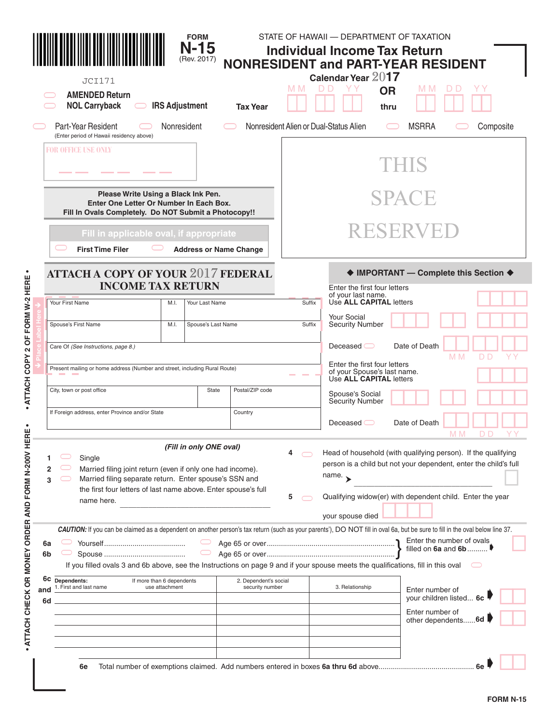|                                                     |                                                                       | <b>JCI171</b><br><b>AMENDED Return</b><br><b>NOL Carryback</b><br>$\hspace{1.5cm} \square$                                                                                                                                                                                                                                                   |             | <b>FORM</b><br>$N-15$<br>(Rev. 2017)<br><b>IRS Adjustment</b> | <b>Tax Year</b> | M M              | STATE OF HAWAII - DEPARTMENT OF TAXATION<br><b>Individual Income Tax Return</b><br>Calendar Year 2017<br><b>OR</b><br>thru | <b>NONRESIDENT and PART-YEAR RESIDENT</b><br>M M                                                                                                                                               |  |  |  |  |  |
|-----------------------------------------------------|-----------------------------------------------------------------------|----------------------------------------------------------------------------------------------------------------------------------------------------------------------------------------------------------------------------------------------------------------------------------------------------------------------------------------------|-------------|---------------------------------------------------------------|-----------------|------------------|----------------------------------------------------------------------------------------------------------------------------|------------------------------------------------------------------------------------------------------------------------------------------------------------------------------------------------|--|--|--|--|--|
|                                                     |                                                                       | Part-Year Resident<br>(Enter period of Hawaii residency above)                                                                                                                                                                                                                                                                               | Nonresident |                                                               |                 |                  | Nonresident Alien or Dual-Status Alien                                                                                     | <b>MSRRA</b><br>Composite                                                                                                                                                                      |  |  |  |  |  |
| <b>FOR OFFICE USE ONLY</b>                          |                                                                       |                                                                                                                                                                                                                                                                                                                                              |             |                                                               |                 |                  | THIS                                                                                                                       |                                                                                                                                                                                                |  |  |  |  |  |
|                                                     |                                                                       | Please Write Using a Black Ink Pen.<br>Enter One Letter Or Number In Each Box.<br>Fill In Ovals Completely. Do NOT Submit a Photocopy!!                                                                                                                                                                                                      |             |                                                               |                 | SPACE            |                                                                                                                            |                                                                                                                                                                                                |  |  |  |  |  |
|                                                     |                                                                       | Fill in applicable oval, if appropriate<br><b>First Time Filer</b>                                                                                                                                                                                                                                                                           |             | <b>Address or Name Change</b>                                 |                 |                  |                                                                                                                            | RESERVEL                                                                                                                                                                                       |  |  |  |  |  |
| 2 OF FORM W-2 HERE                                  | <b>ATTACH A COPY OF YOUR 2017 FEDERAL</b><br><b>INCOME TAX RETURN</b> |                                                                                                                                                                                                                                                                                                                                              |             |                                                               |                 |                  | Enter the first four letters<br>of your last name.                                                                         | ♦ IMPORTANT - Complete this Section ♦                                                                                                                                                          |  |  |  |  |  |
|                                                     |                                                                       | Your First Name                                                                                                                                                                                                                                                                                                                              | M.I.        | Your Last Name                                                |                 | Suffix<br>Suffix | Use ALL CAPITAL letters<br><b>Your Social</b>                                                                              |                                                                                                                                                                                                |  |  |  |  |  |
|                                                     |                                                                       | Spouse's First Name                                                                                                                                                                                                                                                                                                                          | M.I.        | Spouse's Last Name                                            |                 |                  | <b>Security Number</b>                                                                                                     |                                                                                                                                                                                                |  |  |  |  |  |
|                                                     | Care Of (See Instructions, page 8.)                                   |                                                                                                                                                                                                                                                                                                                                              |             |                                                               |                 |                  | Deceased $\bigcirc$                                                                                                        | Date of Death<br>M M<br>D D<br>YΥ                                                                                                                                                              |  |  |  |  |  |
| · ATTACH COPY                                       |                                                                       | Present mailing or home address (Number and street, including Rural Route)                                                                                                                                                                                                                                                                   |             |                                                               |                 |                  | Enter the first four letters<br>of your Spouse's last name.<br>$\sim$<br>Use ALL CAPITAL letters                           |                                                                                                                                                                                                |  |  |  |  |  |
|                                                     |                                                                       | City, town or post office                                                                                                                                                                                                                                                                                                                    | State       | Postal/ZIP code                                               |                 |                  |                                                                                                                            |                                                                                                                                                                                                |  |  |  |  |  |
| $\bullet$<br>Ш                                      |                                                                       | If Foreign address, enter Province and/or State                                                                                                                                                                                                                                                                                              |             |                                                               | Country         |                  | Deceased $\bigcirc$                                                                                                        | Date of Death<br>M M<br>D D<br>YΥ                                                                                                                                                              |  |  |  |  |  |
| ᇎ<br>ATTACH CHECK OR MONEY ORDER AND FORM N-200V HE | 2<br>3                                                                | Single<br>Married filing joint return (even if only one had income).<br>Married filing separate return. Enter spouse's SSN and<br>the first four letters of last name above. Enter spouse's full<br>name here.                                                                                                                               |             | (Fill in only ONE oval)                                       |                 | 4<br>5           | name. $\rightarrow$<br>your spouse died                                                                                    | Head of household (with qualifying person). If the qualifying<br>person is a child but not your dependent, enter the child's full<br>Qualifying widow(er) with dependent child. Enter the year |  |  |  |  |  |
|                                                     | 6a<br>6b                                                              | CAUTION: If you can be claimed as a dependent on another person's tax return (such as your parents'), DO NOT fill in oval 6a, but be sure to fill in the oval below line 37.<br>$\displaystyle\bigcirc$<br>If you filled ovals 3 and 6b above, see the Instructions on page 9 and if your spouse meets the qualifications, fill in this oval |             |                                                               |                 |                  |                                                                                                                            | Enter the number of ovals<br>filled on $6a$ and $6b$                                                                                                                                           |  |  |  |  |  |
|                                                     | and<br>6d                                                             | 6C Dependents:<br>If more than 6 dependents<br>1. First and last name<br>use attachment                                                                                                                                                                                                                                                      |             | 2. Dependent's social<br>security number                      |                 |                  | 3. Relationship                                                                                                            | Enter number of<br>your children listed 6c                                                                                                                                                     |  |  |  |  |  |
|                                                     |                                                                       |                                                                                                                                                                                                                                                                                                                                              |             |                                                               |                 |                  |                                                                                                                            | Enter number of<br>other dependents 6d                                                                                                                                                         |  |  |  |  |  |
|                                                     |                                                                       | 6e                                                                                                                                                                                                                                                                                                                                           |             |                                                               |                 |                  |                                                                                                                            |                                                                                                                                                                                                |  |  |  |  |  |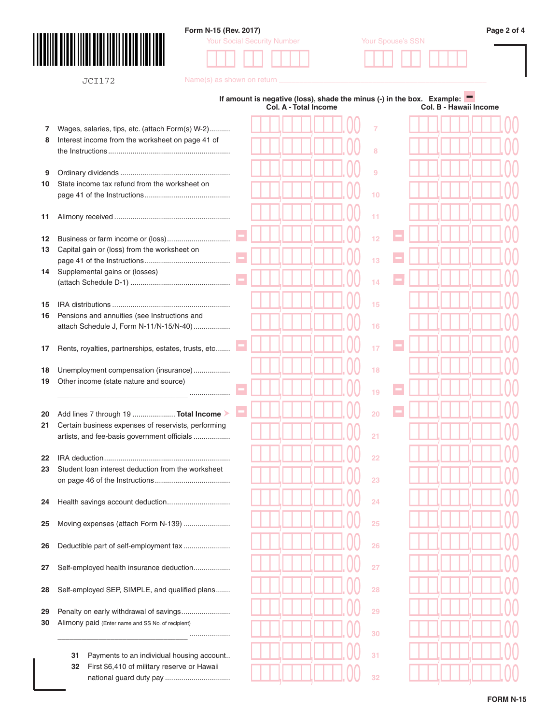

JCI172

## **Form N-15 (Rev. 2017) Page 2 of 4**

Your Social Security Number Your Spouse's SSN



Name(s) as shown on return \_\_

| Wages, salaries, tips, etc. (attach Form(s) W-2)<br>7<br>Interest income from the worksheet on page 41 of<br>8<br>8<br>9<br>9<br>State income tax refund from the worksheet on<br>10<br>10<br>11<br>11<br>12<br>12<br>13<br>Capital gain or (loss) from the worksheet on<br>13<br>Supplemental gains or (losses)<br>14<br>14<br>15<br>15<br>16<br>Pensions and annuities (see Instructions and<br>attach Schedule J, Form N-11/N-15/N-40)<br>16<br>Rents, royalties, partnerships, estates, trusts, etc<br>17<br>17<br>18<br>Unemployment compensation (insurance)<br>18<br>19<br>Other income (state nature and source)<br>19<br><br>Add lines 7 through 19  Total Income<br>20<br>20<br>21<br>Certain business expenses of reservists, performing<br>21<br>artists, and fee-basis government officials<br>22<br>22<br>Student loan interest deduction from the worksheet<br>23<br>23<br>24<br>24<br>25<br>Moving expenses (attach Form N-139)<br>25<br>26<br>Deductible part of self-employment tax<br>26<br>27<br>Self-employed health insurance deduction<br>27<br>28<br>Self-employed SEP, SIMPLE, and qualified plans<br>28<br>29<br>Penalty on early withdrawal of savings<br>29<br>Alimony paid (Enter name and SS No. of recipient)<br>30<br>30<br><br>31<br>Payments to an individual housing account<br>31<br>First \$6,410 of military reserve or Hawaii<br>32 |  |  | Col. A - Total Income |  | If amount is negative (loss), shade the minus (-) in the box. Example: $\blacksquare$ |  |  |  | Col. B - Hawaii Income |  |
|----------------------------------------------------------------------------------------------------------------------------------------------------------------------------------------------------------------------------------------------------------------------------------------------------------------------------------------------------------------------------------------------------------------------------------------------------------------------------------------------------------------------------------------------------------------------------------------------------------------------------------------------------------------------------------------------------------------------------------------------------------------------------------------------------------------------------------------------------------------------------------------------------------------------------------------------------------------------------------------------------------------------------------------------------------------------------------------------------------------------------------------------------------------------------------------------------------------------------------------------------------------------------------------------------------------------------------------------------------------------------|--|--|-----------------------|--|---------------------------------------------------------------------------------------|--|--|--|------------------------|--|
|                                                                                                                                                                                                                                                                                                                                                                                                                                                                                                                                                                                                                                                                                                                                                                                                                                                                                                                                                                                                                                                                                                                                                                                                                                                                                                                                                                            |  |  |                       |  |                                                                                       |  |  |  |                        |  |
|                                                                                                                                                                                                                                                                                                                                                                                                                                                                                                                                                                                                                                                                                                                                                                                                                                                                                                                                                                                                                                                                                                                                                                                                                                                                                                                                                                            |  |  |                       |  |                                                                                       |  |  |  |                        |  |
|                                                                                                                                                                                                                                                                                                                                                                                                                                                                                                                                                                                                                                                                                                                                                                                                                                                                                                                                                                                                                                                                                                                                                                                                                                                                                                                                                                            |  |  |                       |  |                                                                                       |  |  |  |                        |  |
|                                                                                                                                                                                                                                                                                                                                                                                                                                                                                                                                                                                                                                                                                                                                                                                                                                                                                                                                                                                                                                                                                                                                                                                                                                                                                                                                                                            |  |  |                       |  |                                                                                       |  |  |  |                        |  |
|                                                                                                                                                                                                                                                                                                                                                                                                                                                                                                                                                                                                                                                                                                                                                                                                                                                                                                                                                                                                                                                                                                                                                                                                                                                                                                                                                                            |  |  |                       |  |                                                                                       |  |  |  |                        |  |
|                                                                                                                                                                                                                                                                                                                                                                                                                                                                                                                                                                                                                                                                                                                                                                                                                                                                                                                                                                                                                                                                                                                                                                                                                                                                                                                                                                            |  |  |                       |  |                                                                                       |  |  |  |                        |  |
|                                                                                                                                                                                                                                                                                                                                                                                                                                                                                                                                                                                                                                                                                                                                                                                                                                                                                                                                                                                                                                                                                                                                                                                                                                                                                                                                                                            |  |  |                       |  |                                                                                       |  |  |  |                        |  |
|                                                                                                                                                                                                                                                                                                                                                                                                                                                                                                                                                                                                                                                                                                                                                                                                                                                                                                                                                                                                                                                                                                                                                                                                                                                                                                                                                                            |  |  |                       |  |                                                                                       |  |  |  |                        |  |
|                                                                                                                                                                                                                                                                                                                                                                                                                                                                                                                                                                                                                                                                                                                                                                                                                                                                                                                                                                                                                                                                                                                                                                                                                                                                                                                                                                            |  |  |                       |  |                                                                                       |  |  |  |                        |  |
|                                                                                                                                                                                                                                                                                                                                                                                                                                                                                                                                                                                                                                                                                                                                                                                                                                                                                                                                                                                                                                                                                                                                                                                                                                                                                                                                                                            |  |  |                       |  |                                                                                       |  |  |  |                        |  |
|                                                                                                                                                                                                                                                                                                                                                                                                                                                                                                                                                                                                                                                                                                                                                                                                                                                                                                                                                                                                                                                                                                                                                                                                                                                                                                                                                                            |  |  |                       |  |                                                                                       |  |  |  |                        |  |
|                                                                                                                                                                                                                                                                                                                                                                                                                                                                                                                                                                                                                                                                                                                                                                                                                                                                                                                                                                                                                                                                                                                                                                                                                                                                                                                                                                            |  |  |                       |  |                                                                                       |  |  |  |                        |  |
|                                                                                                                                                                                                                                                                                                                                                                                                                                                                                                                                                                                                                                                                                                                                                                                                                                                                                                                                                                                                                                                                                                                                                                                                                                                                                                                                                                            |  |  |                       |  |                                                                                       |  |  |  |                        |  |
|                                                                                                                                                                                                                                                                                                                                                                                                                                                                                                                                                                                                                                                                                                                                                                                                                                                                                                                                                                                                                                                                                                                                                                                                                                                                                                                                                                            |  |  |                       |  |                                                                                       |  |  |  |                        |  |
|                                                                                                                                                                                                                                                                                                                                                                                                                                                                                                                                                                                                                                                                                                                                                                                                                                                                                                                                                                                                                                                                                                                                                                                                                                                                                                                                                                            |  |  |                       |  |                                                                                       |  |  |  |                        |  |
|                                                                                                                                                                                                                                                                                                                                                                                                                                                                                                                                                                                                                                                                                                                                                                                                                                                                                                                                                                                                                                                                                                                                                                                                                                                                                                                                                                            |  |  |                       |  |                                                                                       |  |  |  |                        |  |
|                                                                                                                                                                                                                                                                                                                                                                                                                                                                                                                                                                                                                                                                                                                                                                                                                                                                                                                                                                                                                                                                                                                                                                                                                                                                                                                                                                            |  |  |                       |  |                                                                                       |  |  |  |                        |  |
|                                                                                                                                                                                                                                                                                                                                                                                                                                                                                                                                                                                                                                                                                                                                                                                                                                                                                                                                                                                                                                                                                                                                                                                                                                                                                                                                                                            |  |  |                       |  |                                                                                       |  |  |  |                        |  |
|                                                                                                                                                                                                                                                                                                                                                                                                                                                                                                                                                                                                                                                                                                                                                                                                                                                                                                                                                                                                                                                                                                                                                                                                                                                                                                                                                                            |  |  |                       |  |                                                                                       |  |  |  |                        |  |
|                                                                                                                                                                                                                                                                                                                                                                                                                                                                                                                                                                                                                                                                                                                                                                                                                                                                                                                                                                                                                                                                                                                                                                                                                                                                                                                                                                            |  |  |                       |  |                                                                                       |  |  |  |                        |  |
|                                                                                                                                                                                                                                                                                                                                                                                                                                                                                                                                                                                                                                                                                                                                                                                                                                                                                                                                                                                                                                                                                                                                                                                                                                                                                                                                                                            |  |  |                       |  |                                                                                       |  |  |  |                        |  |
|                                                                                                                                                                                                                                                                                                                                                                                                                                                                                                                                                                                                                                                                                                                                                                                                                                                                                                                                                                                                                                                                                                                                                                                                                                                                                                                                                                            |  |  |                       |  |                                                                                       |  |  |  |                        |  |
|                                                                                                                                                                                                                                                                                                                                                                                                                                                                                                                                                                                                                                                                                                                                                                                                                                                                                                                                                                                                                                                                                                                                                                                                                                                                                                                                                                            |  |  |                       |  |                                                                                       |  |  |  |                        |  |
|                                                                                                                                                                                                                                                                                                                                                                                                                                                                                                                                                                                                                                                                                                                                                                                                                                                                                                                                                                                                                                                                                                                                                                                                                                                                                                                                                                            |  |  |                       |  |                                                                                       |  |  |  |                        |  |
|                                                                                                                                                                                                                                                                                                                                                                                                                                                                                                                                                                                                                                                                                                                                                                                                                                                                                                                                                                                                                                                                                                                                                                                                                                                                                                                                                                            |  |  |                       |  |                                                                                       |  |  |  |                        |  |
|                                                                                                                                                                                                                                                                                                                                                                                                                                                                                                                                                                                                                                                                                                                                                                                                                                                                                                                                                                                                                                                                                                                                                                                                                                                                                                                                                                            |  |  |                       |  |                                                                                       |  |  |  |                        |  |
|                                                                                                                                                                                                                                                                                                                                                                                                                                                                                                                                                                                                                                                                                                                                                                                                                                                                                                                                                                                                                                                                                                                                                                                                                                                                                                                                                                            |  |  |                       |  |                                                                                       |  |  |  |                        |  |
|                                                                                                                                                                                                                                                                                                                                                                                                                                                                                                                                                                                                                                                                                                                                                                                                                                                                                                                                                                                                                                                                                                                                                                                                                                                                                                                                                                            |  |  |                       |  |                                                                                       |  |  |  |                        |  |
|                                                                                                                                                                                                                                                                                                                                                                                                                                                                                                                                                                                                                                                                                                                                                                                                                                                                                                                                                                                                                                                                                                                                                                                                                                                                                                                                                                            |  |  |                       |  |                                                                                       |  |  |  |                        |  |
|                                                                                                                                                                                                                                                                                                                                                                                                                                                                                                                                                                                                                                                                                                                                                                                                                                                                                                                                                                                                                                                                                                                                                                                                                                                                                                                                                                            |  |  |                       |  |                                                                                       |  |  |  |                        |  |
|                                                                                                                                                                                                                                                                                                                                                                                                                                                                                                                                                                                                                                                                                                                                                                                                                                                                                                                                                                                                                                                                                                                                                                                                                                                                                                                                                                            |  |  |                       |  |                                                                                       |  |  |  |                        |  |
|                                                                                                                                                                                                                                                                                                                                                                                                                                                                                                                                                                                                                                                                                                                                                                                                                                                                                                                                                                                                                                                                                                                                                                                                                                                                                                                                                                            |  |  |                       |  |                                                                                       |  |  |  |                        |  |
|                                                                                                                                                                                                                                                                                                                                                                                                                                                                                                                                                                                                                                                                                                                                                                                                                                                                                                                                                                                                                                                                                                                                                                                                                                                                                                                                                                            |  |  |                       |  |                                                                                       |  |  |  |                        |  |
|                                                                                                                                                                                                                                                                                                                                                                                                                                                                                                                                                                                                                                                                                                                                                                                                                                                                                                                                                                                                                                                                                                                                                                                                                                                                                                                                                                            |  |  |                       |  |                                                                                       |  |  |  |                        |  |
|                                                                                                                                                                                                                                                                                                                                                                                                                                                                                                                                                                                                                                                                                                                                                                                                                                                                                                                                                                                                                                                                                                                                                                                                                                                                                                                                                                            |  |  |                       |  |                                                                                       |  |  |  |                        |  |
|                                                                                                                                                                                                                                                                                                                                                                                                                                                                                                                                                                                                                                                                                                                                                                                                                                                                                                                                                                                                                                                                                                                                                                                                                                                                                                                                                                            |  |  |                       |  |                                                                                       |  |  |  |                        |  |
| 32                                                                                                                                                                                                                                                                                                                                                                                                                                                                                                                                                                                                                                                                                                                                                                                                                                                                                                                                                                                                                                                                                                                                                                                                                                                                                                                                                                         |  |  |                       |  |                                                                                       |  |  |  |                        |  |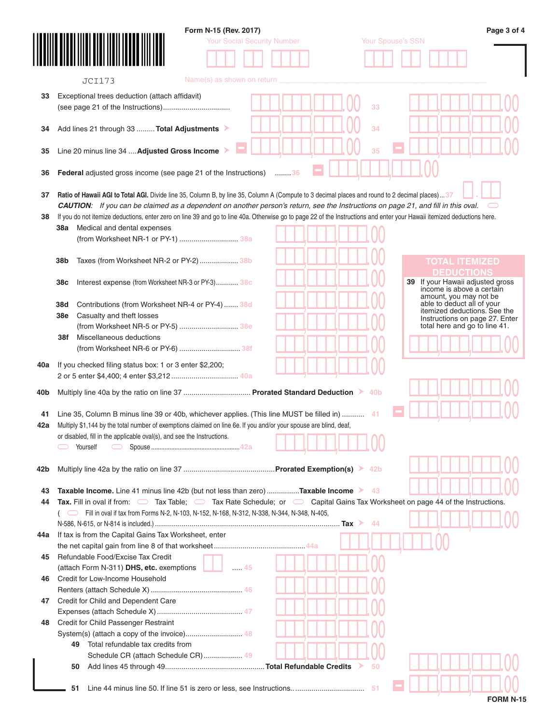| <b>Your Social Security Number</b><br>Your Spouse's SSN<br>Name(s) as shown on return<br><b>JCI173</b><br>Exceptional trees deduction (attach affidavit)<br>33<br>34<br>Add lines 21 through 33  Total Adjustments<br>Line 20 minus line 34  Adjusted Gross Income<br>35<br><b>Federal</b> adjusted gross income (see page 21 of the Instructions) 36<br>Ratio of Hawaii AGI to Total AGI. Divide line 35, Column B, by line 35, Column A (Compute to 3 decimal places and round to 2 decimal places) 37<br><b>CAUTION:</b> If you can be claimed as a dependent on another person's return, see the Instructions on page 21, and fill in this oval.<br>If you do not itemize deductions, enter zero on line 39 and go to line 40a. Otherwise go to page 22 of the Instructions and enter your Hawaii itemized deductions here.<br>38a Medical and dental expenses<br>(from Worksheet NR-1 or PY-1)  38a<br>Taxes (from Worksheet NR-2 or PY-2)  38b<br>38b<br><b>TOTAL ITEMIZED</b><br><b>DEDUCTIONS</b><br>If your Hawaii adjusted gross<br>39<br>38c<br>Interest expense (from Worksheet NR-3 or PY-3) 38c<br>income is above a certain<br>amount, you may not be<br>able to deduct all of your<br>Contributions (from Worksheet NR-4 or PY-4)  38d<br>38d<br>itemized deductions. See the<br>Casualty and theft losses<br>Instructions on page 27. Enter<br>(from Worksheet NR-5 or PY-5)  38e<br>total here and go to line 41.<br>Miscellaneous deductions<br>38f<br>(from Worksheet NR-6 or PY-6)  38f<br>If you checked filing status box: 1 or 3 enter \$2,200;<br>Multiply line 40a by the ratio on line 37  Prorated Standard Deduction > 40b<br>Line 35, Column B minus line 39 or 40b, whichever applies. (This line MUST be filled in)  41<br>Multiply \$1,144 by the total number of exemptions claimed on line 6e. If you and/or your spouse are blind, deaf,<br>or disabled, fill in the applicable oval(s), and see the Instructions.<br>1 A A<br>Yourself<br>Taxable Income. Line 41 minus line 42b (but not less than zero) Taxable Income > 43<br>Tax. Fill in oval if from: $\Box$ Tax Table; $\Box$ Tax Rate Schedule; or $\Box$ Capital Gains Tax Worksheet on page 44 of the Instructions.<br>( Till in oval if tax from Forms N-2, N-103, N-152, N-168, N-312, N-338, N-344, N-348, N-405,<br>44<br>Refundable Food/Excise Tax Credit<br>(attach Form N-311) DHS, etc. exemptions<br>$\ldots$ 45<br>Credit for Child and Dependent Care<br>Credit for Child Passenger Restraint<br>Total refundable tax credits from<br>49<br>Schedule CR (attach Schedule CR) 49<br>50<br>50<br>-51<br>51 |                                                              |  |
|---------------------------------------------------------------------------------------------------------------------------------------------------------------------------------------------------------------------------------------------------------------------------------------------------------------------------------------------------------------------------------------------------------------------------------------------------------------------------------------------------------------------------------------------------------------------------------------------------------------------------------------------------------------------------------------------------------------------------------------------------------------------------------------------------------------------------------------------------------------------------------------------------------------------------------------------------------------------------------------------------------------------------------------------------------------------------------------------------------------------------------------------------------------------------------------------------------------------------------------------------------------------------------------------------------------------------------------------------------------------------------------------------------------------------------------------------------------------------------------------------------------------------------------------------------------------------------------------------------------------------------------------------------------------------------------------------------------------------------------------------------------------------------------------------------------------------------------------------------------------------------------------------------------------------------------------------------------------------------------------------------------------------------------------------------------------------------------------------------------------------------------------------------------------------------------------------------------------------------------------------------------------------------------------------------------------------------------------------------------------------------------------------------------------------------------------------------------------------------------------------------------------------------------------------------------------------------------------------------------------|--------------------------------------------------------------|--|
|                                                                                                                                                                                                                                                                                                                                                                                                                                                                                                                                                                                                                                                                                                                                                                                                                                                                                                                                                                                                                                                                                                                                                                                                                                                                                                                                                                                                                                                                                                                                                                                                                                                                                                                                                                                                                                                                                                                                                                                                                                                                                                                                                                                                                                                                                                                                                                                                                                                                                                                                                                                                                     |                                                              |  |
|                                                                                                                                                                                                                                                                                                                                                                                                                                                                                                                                                                                                                                                                                                                                                                                                                                                                                                                                                                                                                                                                                                                                                                                                                                                                                                                                                                                                                                                                                                                                                                                                                                                                                                                                                                                                                                                                                                                                                                                                                                                                                                                                                                                                                                                                                                                                                                                                                                                                                                                                                                                                                     |                                                              |  |
|                                                                                                                                                                                                                                                                                                                                                                                                                                                                                                                                                                                                                                                                                                                                                                                                                                                                                                                                                                                                                                                                                                                                                                                                                                                                                                                                                                                                                                                                                                                                                                                                                                                                                                                                                                                                                                                                                                                                                                                                                                                                                                                                                                                                                                                                                                                                                                                                                                                                                                                                                                                                                     |                                                              |  |
|                                                                                                                                                                                                                                                                                                                                                                                                                                                                                                                                                                                                                                                                                                                                                                                                                                                                                                                                                                                                                                                                                                                                                                                                                                                                                                                                                                                                                                                                                                                                                                                                                                                                                                                                                                                                                                                                                                                                                                                                                                                                                                                                                                                                                                                                                                                                                                                                                                                                                                                                                                                                                     |                                                              |  |
|                                                                                                                                                                                                                                                                                                                                                                                                                                                                                                                                                                                                                                                                                                                                                                                                                                                                                                                                                                                                                                                                                                                                                                                                                                                                                                                                                                                                                                                                                                                                                                                                                                                                                                                                                                                                                                                                                                                                                                                                                                                                                                                                                                                                                                                                                                                                                                                                                                                                                                                                                                                                                     |                                                              |  |
|                                                                                                                                                                                                                                                                                                                                                                                                                                                                                                                                                                                                                                                                                                                                                                                                                                                                                                                                                                                                                                                                                                                                                                                                                                                                                                                                                                                                                                                                                                                                                                                                                                                                                                                                                                                                                                                                                                                                                                                                                                                                                                                                                                                                                                                                                                                                                                                                                                                                                                                                                                                                                     |                                                              |  |
|                                                                                                                                                                                                                                                                                                                                                                                                                                                                                                                                                                                                                                                                                                                                                                                                                                                                                                                                                                                                                                                                                                                                                                                                                                                                                                                                                                                                                                                                                                                                                                                                                                                                                                                                                                                                                                                                                                                                                                                                                                                                                                                                                                                                                                                                                                                                                                                                                                                                                                                                                                                                                     |                                                              |  |
|                                                                                                                                                                                                                                                                                                                                                                                                                                                                                                                                                                                                                                                                                                                                                                                                                                                                                                                                                                                                                                                                                                                                                                                                                                                                                                                                                                                                                                                                                                                                                                                                                                                                                                                                                                                                                                                                                                                                                                                                                                                                                                                                                                                                                                                                                                                                                                                                                                                                                                                                                                                                                     |                                                              |  |
|                                                                                                                                                                                                                                                                                                                                                                                                                                                                                                                                                                                                                                                                                                                                                                                                                                                                                                                                                                                                                                                                                                                                                                                                                                                                                                                                                                                                                                                                                                                                                                                                                                                                                                                                                                                                                                                                                                                                                                                                                                                                                                                                                                                                                                                                                                                                                                                                                                                                                                                                                                                                                     |                                                              |  |
|                                                                                                                                                                                                                                                                                                                                                                                                                                                                                                                                                                                                                                                                                                                                                                                                                                                                                                                                                                                                                                                                                                                                                                                                                                                                                                                                                                                                                                                                                                                                                                                                                                                                                                                                                                                                                                                                                                                                                                                                                                                                                                                                                                                                                                                                                                                                                                                                                                                                                                                                                                                                                     |                                                              |  |
|                                                                                                                                                                                                                                                                                                                                                                                                                                                                                                                                                                                                                                                                                                                                                                                                                                                                                                                                                                                                                                                                                                                                                                                                                                                                                                                                                                                                                                                                                                                                                                                                                                                                                                                                                                                                                                                                                                                                                                                                                                                                                                                                                                                                                                                                                                                                                                                                                                                                                                                                                                                                                     |                                                              |  |
|                                                                                                                                                                                                                                                                                                                                                                                                                                                                                                                                                                                                                                                                                                                                                                                                                                                                                                                                                                                                                                                                                                                                                                                                                                                                                                                                                                                                                                                                                                                                                                                                                                                                                                                                                                                                                                                                                                                                                                                                                                                                                                                                                                                                                                                                                                                                                                                                                                                                                                                                                                                                                     |                                                              |  |
|                                                                                                                                                                                                                                                                                                                                                                                                                                                                                                                                                                                                                                                                                                                                                                                                                                                                                                                                                                                                                                                                                                                                                                                                                                                                                                                                                                                                                                                                                                                                                                                                                                                                                                                                                                                                                                                                                                                                                                                                                                                                                                                                                                                                                                                                                                                                                                                                                                                                                                                                                                                                                     |                                                              |  |
|                                                                                                                                                                                                                                                                                                                                                                                                                                                                                                                                                                                                                                                                                                                                                                                                                                                                                                                                                                                                                                                                                                                                                                                                                                                                                                                                                                                                                                                                                                                                                                                                                                                                                                                                                                                                                                                                                                                                                                                                                                                                                                                                                                                                                                                                                                                                                                                                                                                                                                                                                                                                                     |                                                              |  |
|                                                                                                                                                                                                                                                                                                                                                                                                                                                                                                                                                                                                                                                                                                                                                                                                                                                                                                                                                                                                                                                                                                                                                                                                                                                                                                                                                                                                                                                                                                                                                                                                                                                                                                                                                                                                                                                                                                                                                                                                                                                                                                                                                                                                                                                                                                                                                                                                                                                                                                                                                                                                                     |                                                              |  |
|                                                                                                                                                                                                                                                                                                                                                                                                                                                                                                                                                                                                                                                                                                                                                                                                                                                                                                                                                                                                                                                                                                                                                                                                                                                                                                                                                                                                                                                                                                                                                                                                                                                                                                                                                                                                                                                                                                                                                                                                                                                                                                                                                                                                                                                                                                                                                                                                                                                                                                                                                                                                                     |                                                              |  |
|                                                                                                                                                                                                                                                                                                                                                                                                                                                                                                                                                                                                                                                                                                                                                                                                                                                                                                                                                                                                                                                                                                                                                                                                                                                                                                                                                                                                                                                                                                                                                                                                                                                                                                                                                                                                                                                                                                                                                                                                                                                                                                                                                                                                                                                                                                                                                                                                                                                                                                                                                                                                                     |                                                              |  |
|                                                                                                                                                                                                                                                                                                                                                                                                                                                                                                                                                                                                                                                                                                                                                                                                                                                                                                                                                                                                                                                                                                                                                                                                                                                                                                                                                                                                                                                                                                                                                                                                                                                                                                                                                                                                                                                                                                                                                                                                                                                                                                                                                                                                                                                                                                                                                                                                                                                                                                                                                                                                                     |                                                              |  |
|                                                                                                                                                                                                                                                                                                                                                                                                                                                                                                                                                                                                                                                                                                                                                                                                                                                                                                                                                                                                                                                                                                                                                                                                                                                                                                                                                                                                                                                                                                                                                                                                                                                                                                                                                                                                                                                                                                                                                                                                                                                                                                                                                                                                                                                                                                                                                                                                                                                                                                                                                                                                                     |                                                              |  |
|                                                                                                                                                                                                                                                                                                                                                                                                                                                                                                                                                                                                                                                                                                                                                                                                                                                                                                                                                                                                                                                                                                                                                                                                                                                                                                                                                                                                                                                                                                                                                                                                                                                                                                                                                                                                                                                                                                                                                                                                                                                                                                                                                                                                                                                                                                                                                                                                                                                                                                                                                                                                                     |                                                              |  |
|                                                                                                                                                                                                                                                                                                                                                                                                                                                                                                                                                                                                                                                                                                                                                                                                                                                                                                                                                                                                                                                                                                                                                                                                                                                                                                                                                                                                                                                                                                                                                                                                                                                                                                                                                                                                                                                                                                                                                                                                                                                                                                                                                                                                                                                                                                                                                                                                                                                                                                                                                                                                                     |                                                              |  |
|                                                                                                                                                                                                                                                                                                                                                                                                                                                                                                                                                                                                                                                                                                                                                                                                                                                                                                                                                                                                                                                                                                                                                                                                                                                                                                                                                                                                                                                                                                                                                                                                                                                                                                                                                                                                                                                                                                                                                                                                                                                                                                                                                                                                                                                                                                                                                                                                                                                                                                                                                                                                                     | <b>38e</b>                                                   |  |
|                                                                                                                                                                                                                                                                                                                                                                                                                                                                                                                                                                                                                                                                                                                                                                                                                                                                                                                                                                                                                                                                                                                                                                                                                                                                                                                                                                                                                                                                                                                                                                                                                                                                                                                                                                                                                                                                                                                                                                                                                                                                                                                                                                                                                                                                                                                                                                                                                                                                                                                                                                                                                     |                                                              |  |
|                                                                                                                                                                                                                                                                                                                                                                                                                                                                                                                                                                                                                                                                                                                                                                                                                                                                                                                                                                                                                                                                                                                                                                                                                                                                                                                                                                                                                                                                                                                                                                                                                                                                                                                                                                                                                                                                                                                                                                                                                                                                                                                                                                                                                                                                                                                                                                                                                                                                                                                                                                                                                     |                                                              |  |
|                                                                                                                                                                                                                                                                                                                                                                                                                                                                                                                                                                                                                                                                                                                                                                                                                                                                                                                                                                                                                                                                                                                                                                                                                                                                                                                                                                                                                                                                                                                                                                                                                                                                                                                                                                                                                                                                                                                                                                                                                                                                                                                                                                                                                                                                                                                                                                                                                                                                                                                                                                                                                     |                                                              |  |
|                                                                                                                                                                                                                                                                                                                                                                                                                                                                                                                                                                                                                                                                                                                                                                                                                                                                                                                                                                                                                                                                                                                                                                                                                                                                                                                                                                                                                                                                                                                                                                                                                                                                                                                                                                                                                                                                                                                                                                                                                                                                                                                                                                                                                                                                                                                                                                                                                                                                                                                                                                                                                     |                                                              |  |
|                                                                                                                                                                                                                                                                                                                                                                                                                                                                                                                                                                                                                                                                                                                                                                                                                                                                                                                                                                                                                                                                                                                                                                                                                                                                                                                                                                                                                                                                                                                                                                                                                                                                                                                                                                                                                                                                                                                                                                                                                                                                                                                                                                                                                                                                                                                                                                                                                                                                                                                                                                                                                     |                                                              |  |
|                                                                                                                                                                                                                                                                                                                                                                                                                                                                                                                                                                                                                                                                                                                                                                                                                                                                                                                                                                                                                                                                                                                                                                                                                                                                                                                                                                                                                                                                                                                                                                                                                                                                                                                                                                                                                                                                                                                                                                                                                                                                                                                                                                                                                                                                                                                                                                                                                                                                                                                                                                                                                     |                                                              |  |
|                                                                                                                                                                                                                                                                                                                                                                                                                                                                                                                                                                                                                                                                                                                                                                                                                                                                                                                                                                                                                                                                                                                                                                                                                                                                                                                                                                                                                                                                                                                                                                                                                                                                                                                                                                                                                                                                                                                                                                                                                                                                                                                                                                                                                                                                                                                                                                                                                                                                                                                                                                                                                     |                                                              |  |
|                                                                                                                                                                                                                                                                                                                                                                                                                                                                                                                                                                                                                                                                                                                                                                                                                                                                                                                                                                                                                                                                                                                                                                                                                                                                                                                                                                                                                                                                                                                                                                                                                                                                                                                                                                                                                                                                                                                                                                                                                                                                                                                                                                                                                                                                                                                                                                                                                                                                                                                                                                                                                     |                                                              |  |
|                                                                                                                                                                                                                                                                                                                                                                                                                                                                                                                                                                                                                                                                                                                                                                                                                                                                                                                                                                                                                                                                                                                                                                                                                                                                                                                                                                                                                                                                                                                                                                                                                                                                                                                                                                                                                                                                                                                                                                                                                                                                                                                                                                                                                                                                                                                                                                                                                                                                                                                                                                                                                     |                                                              |  |
|                                                                                                                                                                                                                                                                                                                                                                                                                                                                                                                                                                                                                                                                                                                                                                                                                                                                                                                                                                                                                                                                                                                                                                                                                                                                                                                                                                                                                                                                                                                                                                                                                                                                                                                                                                                                                                                                                                                                                                                                                                                                                                                                                                                                                                                                                                                                                                                                                                                                                                                                                                                                                     |                                                              |  |
|                                                                                                                                                                                                                                                                                                                                                                                                                                                                                                                                                                                                                                                                                                                                                                                                                                                                                                                                                                                                                                                                                                                                                                                                                                                                                                                                                                                                                                                                                                                                                                                                                                                                                                                                                                                                                                                                                                                                                                                                                                                                                                                                                                                                                                                                                                                                                                                                                                                                                                                                                                                                                     |                                                              |  |
|                                                                                                                                                                                                                                                                                                                                                                                                                                                                                                                                                                                                                                                                                                                                                                                                                                                                                                                                                                                                                                                                                                                                                                                                                                                                                                                                                                                                                                                                                                                                                                                                                                                                                                                                                                                                                                                                                                                                                                                                                                                                                                                                                                                                                                                                                                                                                                                                                                                                                                                                                                                                                     |                                                              |  |
|                                                                                                                                                                                                                                                                                                                                                                                                                                                                                                                                                                                                                                                                                                                                                                                                                                                                                                                                                                                                                                                                                                                                                                                                                                                                                                                                                                                                                                                                                                                                                                                                                                                                                                                                                                                                                                                                                                                                                                                                                                                                                                                                                                                                                                                                                                                                                                                                                                                                                                                                                                                                                     |                                                              |  |
|                                                                                                                                                                                                                                                                                                                                                                                                                                                                                                                                                                                                                                                                                                                                                                                                                                                                                                                                                                                                                                                                                                                                                                                                                                                                                                                                                                                                                                                                                                                                                                                                                                                                                                                                                                                                                                                                                                                                                                                                                                                                                                                                                                                                                                                                                                                                                                                                                                                                                                                                                                                                                     | 42b                                                          |  |
|                                                                                                                                                                                                                                                                                                                                                                                                                                                                                                                                                                                                                                                                                                                                                                                                                                                                                                                                                                                                                                                                                                                                                                                                                                                                                                                                                                                                                                                                                                                                                                                                                                                                                                                                                                                                                                                                                                                                                                                                                                                                                                                                                                                                                                                                                                                                                                                                                                                                                                                                                                                                                     |                                                              |  |
|                                                                                                                                                                                                                                                                                                                                                                                                                                                                                                                                                                                                                                                                                                                                                                                                                                                                                                                                                                                                                                                                                                                                                                                                                                                                                                                                                                                                                                                                                                                                                                                                                                                                                                                                                                                                                                                                                                                                                                                                                                                                                                                                                                                                                                                                                                                                                                                                                                                                                                                                                                                                                     |                                                              |  |
|                                                                                                                                                                                                                                                                                                                                                                                                                                                                                                                                                                                                                                                                                                                                                                                                                                                                                                                                                                                                                                                                                                                                                                                                                                                                                                                                                                                                                                                                                                                                                                                                                                                                                                                                                                                                                                                                                                                                                                                                                                                                                                                                                                                                                                                                                                                                                                                                                                                                                                                                                                                                                     | 44                                                           |  |
|                                                                                                                                                                                                                                                                                                                                                                                                                                                                                                                                                                                                                                                                                                                                                                                                                                                                                                                                                                                                                                                                                                                                                                                                                                                                                                                                                                                                                                                                                                                                                                                                                                                                                                                                                                                                                                                                                                                                                                                                                                                                                                                                                                                                                                                                                                                                                                                                                                                                                                                                                                                                                     |                                                              |  |
|                                                                                                                                                                                                                                                                                                                                                                                                                                                                                                                                                                                                                                                                                                                                                                                                                                                                                                                                                                                                                                                                                                                                                                                                                                                                                                                                                                                                                                                                                                                                                                                                                                                                                                                                                                                                                                                                                                                                                                                                                                                                                                                                                                                                                                                                                                                                                                                                                                                                                                                                                                                                                     |                                                              |  |
|                                                                                                                                                                                                                                                                                                                                                                                                                                                                                                                                                                                                                                                                                                                                                                                                                                                                                                                                                                                                                                                                                                                                                                                                                                                                                                                                                                                                                                                                                                                                                                                                                                                                                                                                                                                                                                                                                                                                                                                                                                                                                                                                                                                                                                                                                                                                                                                                                                                                                                                                                                                                                     | If tax is from the Capital Gains Tax Worksheet, enter<br>44a |  |
|                                                                                                                                                                                                                                                                                                                                                                                                                                                                                                                                                                                                                                                                                                                                                                                                                                                                                                                                                                                                                                                                                                                                                                                                                                                                                                                                                                                                                                                                                                                                                                                                                                                                                                                                                                                                                                                                                                                                                                                                                                                                                                                                                                                                                                                                                                                                                                                                                                                                                                                                                                                                                     |                                                              |  |
|                                                                                                                                                                                                                                                                                                                                                                                                                                                                                                                                                                                                                                                                                                                                                                                                                                                                                                                                                                                                                                                                                                                                                                                                                                                                                                                                                                                                                                                                                                                                                                                                                                                                                                                                                                                                                                                                                                                                                                                                                                                                                                                                                                                                                                                                                                                                                                                                                                                                                                                                                                                                                     | 45                                                           |  |
|                                                                                                                                                                                                                                                                                                                                                                                                                                                                                                                                                                                                                                                                                                                                                                                                                                                                                                                                                                                                                                                                                                                                                                                                                                                                                                                                                                                                                                                                                                                                                                                                                                                                                                                                                                                                                                                                                                                                                                                                                                                                                                                                                                                                                                                                                                                                                                                                                                                                                                                                                                                                                     |                                                              |  |
|                                                                                                                                                                                                                                                                                                                                                                                                                                                                                                                                                                                                                                                                                                                                                                                                                                                                                                                                                                                                                                                                                                                                                                                                                                                                                                                                                                                                                                                                                                                                                                                                                                                                                                                                                                                                                                                                                                                                                                                                                                                                                                                                                                                                                                                                                                                                                                                                                                                                                                                                                                                                                     | Credit for Low-Income Household<br>46                        |  |
|                                                                                                                                                                                                                                                                                                                                                                                                                                                                                                                                                                                                                                                                                                                                                                                                                                                                                                                                                                                                                                                                                                                                                                                                                                                                                                                                                                                                                                                                                                                                                                                                                                                                                                                                                                                                                                                                                                                                                                                                                                                                                                                                                                                                                                                                                                                                                                                                                                                                                                                                                                                                                     |                                                              |  |
|                                                                                                                                                                                                                                                                                                                                                                                                                                                                                                                                                                                                                                                                                                                                                                                                                                                                                                                                                                                                                                                                                                                                                                                                                                                                                                                                                                                                                                                                                                                                                                                                                                                                                                                                                                                                                                                                                                                                                                                                                                                                                                                                                                                                                                                                                                                                                                                                                                                                                                                                                                                                                     | 47                                                           |  |
|                                                                                                                                                                                                                                                                                                                                                                                                                                                                                                                                                                                                                                                                                                                                                                                                                                                                                                                                                                                                                                                                                                                                                                                                                                                                                                                                                                                                                                                                                                                                                                                                                                                                                                                                                                                                                                                                                                                                                                                                                                                                                                                                                                                                                                                                                                                                                                                                                                                                                                                                                                                                                     |                                                              |  |
|                                                                                                                                                                                                                                                                                                                                                                                                                                                                                                                                                                                                                                                                                                                                                                                                                                                                                                                                                                                                                                                                                                                                                                                                                                                                                                                                                                                                                                                                                                                                                                                                                                                                                                                                                                                                                                                                                                                                                                                                                                                                                                                                                                                                                                                                                                                                                                                                                                                                                                                                                                                                                     |                                                              |  |
|                                                                                                                                                                                                                                                                                                                                                                                                                                                                                                                                                                                                                                                                                                                                                                                                                                                                                                                                                                                                                                                                                                                                                                                                                                                                                                                                                                                                                                                                                                                                                                                                                                                                                                                                                                                                                                                                                                                                                                                                                                                                                                                                                                                                                                                                                                                                                                                                                                                                                                                                                                                                                     | 48                                                           |  |
|                                                                                                                                                                                                                                                                                                                                                                                                                                                                                                                                                                                                                                                                                                                                                                                                                                                                                                                                                                                                                                                                                                                                                                                                                                                                                                                                                                                                                                                                                                                                                                                                                                                                                                                                                                                                                                                                                                                                                                                                                                                                                                                                                                                                                                                                                                                                                                                                                                                                                                                                                                                                                     |                                                              |  |
|                                                                                                                                                                                                                                                                                                                                                                                                                                                                                                                                                                                                                                                                                                                                                                                                                                                                                                                                                                                                                                                                                                                                                                                                                                                                                                                                                                                                                                                                                                                                                                                                                                                                                                                                                                                                                                                                                                                                                                                                                                                                                                                                                                                                                                                                                                                                                                                                                                                                                                                                                                                                                     |                                                              |  |
|                                                                                                                                                                                                                                                                                                                                                                                                                                                                                                                                                                                                                                                                                                                                                                                                                                                                                                                                                                                                                                                                                                                                                                                                                                                                                                                                                                                                                                                                                                                                                                                                                                                                                                                                                                                                                                                                                                                                                                                                                                                                                                                                                                                                                                                                                                                                                                                                                                                                                                                                                                                                                     |                                                              |  |
|                                                                                                                                                                                                                                                                                                                                                                                                                                                                                                                                                                                                                                                                                                                                                                                                                                                                                                                                                                                                                                                                                                                                                                                                                                                                                                                                                                                                                                                                                                                                                                                                                                                                                                                                                                                                                                                                                                                                                                                                                                                                                                                                                                                                                                                                                                                                                                                                                                                                                                                                                                                                                     |                                                              |  |
|                                                                                                                                                                                                                                                                                                                                                                                                                                                                                                                                                                                                                                                                                                                                                                                                                                                                                                                                                                                                                                                                                                                                                                                                                                                                                                                                                                                                                                                                                                                                                                                                                                                                                                                                                                                                                                                                                                                                                                                                                                                                                                                                                                                                                                                                                                                                                                                                                                                                                                                                                                                                                     |                                                              |  |
|                                                                                                                                                                                                                                                                                                                                                                                                                                                                                                                                                                                                                                                                                                                                                                                                                                                                                                                                                                                                                                                                                                                                                                                                                                                                                                                                                                                                                                                                                                                                                                                                                                                                                                                                                                                                                                                                                                                                                                                                                                                                                                                                                                                                                                                                                                                                                                                                                                                                                                                                                                                                                     |                                                              |  |

| <b>FORM N-15</b> |  |  |
|------------------|--|--|
|------------------|--|--|